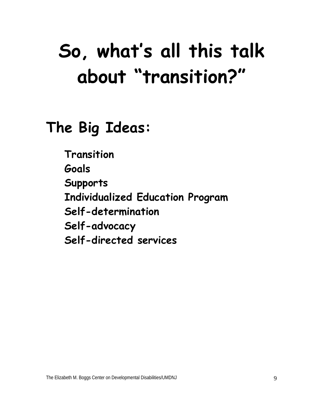# **So, what's all this talk about "transition?"**

## **The Big Ideas:**

**Transition Goals Supports Individualized Education Program Self-determination Self-advocacy Self-directed services**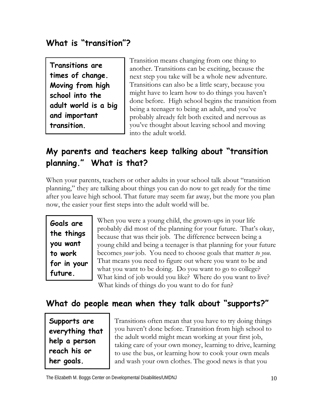#### **What is "transition"?**

**Transitions are times of change. Moving from high school into the adult world is a big and important transition.** 

Transition means changing from one thing to another. Transitions can be exciting, because the next step you take will be a whole new adventure. Transitions can also be a little scary, because you might have to learn how to do things you haven't done before. High school begins the transition from being a teenager to being an adult, and you've probably already felt both excited and nervous as you've thought about leaving school and moving into the adult world.

#### **My parents and teachers keep talking about "transition planning." What is that?**

When your parents, teachers or other adults in your school talk about "transition planning," they are talking about things you can do now to get ready for the time after you leave high school. That future may seem far away, but the more you plan now, the easier your first steps into the adult world will be.

**Goals are the things you want to work for in your future.** 

When you were a young child, the grown-ups in your life probably did most of the planning for your future. That's okay, because that was their job. The difference between being a young child and being a teenager is that planning for your future becomes *your* job. You need to choose goals that matter *to you*. That means you need to figure out where you want to be and what you want to be doing. Do you want to go to college? What kind of job would you like? Where do you want to live? What kinds of things do you want to do for fun?

#### **What do people mean when they talk about "supports?"**

**Supports are everything that help a person reach his or her goals.**

Transitions often mean that you have to try doing things you haven't done before. Transition from high school to the adult world might mean working at your first job, taking care of your own money, learning to drive, learning to use the bus, or learning how to cook your own meals and wash your own clothes. The good news is that you

The Elizabeth M. Boggs Center on Developmental Disabilities/UMDNJ 10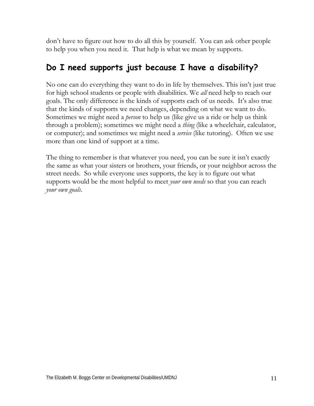don't have to figure out how to do all this by yourself. You can ask other people to help you when you need it. That help is what we mean by supports.

#### **Do I need supports just because I have a disability?**

No one can do everything they want to do in life by themselves. This isn't just true for high school students or people with disabilities. We *all* need help to reach our goals. The only difference is the kinds of supports each of us needs. It's also true that the kinds of supports we need changes, depending on what we want to do. Sometimes we might need a *person* to help us (like give us a ride or help us think through a problem); sometimes we might need a *thing* (like a wheelchair, calculator, or computer); and sometimes we might need a *service* (like tutoring). Often we use more than one kind of support at a time.

The thing to remember is that whatever you need, you can be sure it isn't exactly the same as what your sisters or brothers, your friends, or your neighbor across the street needs. So while everyone uses supports, the key is to figure out what supports would be the most helpful to meet *your own needs* so that you can reach *your own goals*.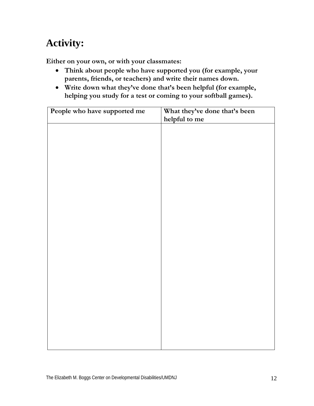**Either on your own, or with your classmates:** 

- **Think about people who have supported you (for example, your parents, friends, or teachers) and write their names down.**
- **Write down what they've done that's been helpful (for example, helping you study for a test or coming to your softball games).**

| People who have supported me | What they've done that's been |
|------------------------------|-------------------------------|
|                              | helpful to me                 |
|                              |                               |
|                              |                               |
|                              |                               |
|                              |                               |
|                              |                               |
|                              |                               |
|                              |                               |
|                              |                               |
|                              |                               |
|                              |                               |
|                              |                               |
|                              |                               |
|                              |                               |
|                              |                               |
|                              |                               |
|                              |                               |
|                              |                               |
|                              |                               |
|                              |                               |
|                              |                               |
|                              |                               |
|                              |                               |
|                              |                               |
|                              |                               |
|                              |                               |
|                              |                               |
|                              |                               |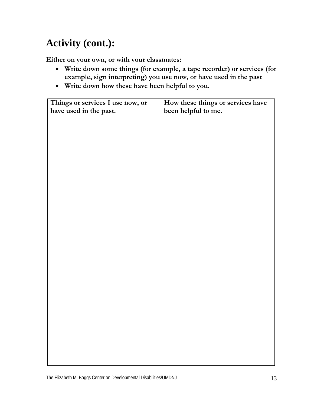## **Activity (cont.):**

**Either on your own, or with your classmates:**

- **Write down some things (for example, a tape recorder) or services (for example, sign interpreting) you use now, or have used in the past**
- **Write down how these have been helpful to you.**

| Things or services I use now, or | How these things or services have |
|----------------------------------|-----------------------------------|
| have used in the past.           | been helpful to me.               |
|                                  |                                   |
|                                  |                                   |
|                                  |                                   |
|                                  |                                   |
|                                  |                                   |
|                                  |                                   |
|                                  |                                   |
|                                  |                                   |
|                                  |                                   |
|                                  |                                   |
|                                  |                                   |
|                                  |                                   |
|                                  |                                   |
|                                  |                                   |
|                                  |                                   |
|                                  |                                   |
|                                  |                                   |
|                                  |                                   |
|                                  |                                   |
|                                  |                                   |
|                                  |                                   |
|                                  |                                   |
|                                  |                                   |
|                                  |                                   |
|                                  |                                   |
|                                  |                                   |
|                                  |                                   |
|                                  |                                   |
|                                  |                                   |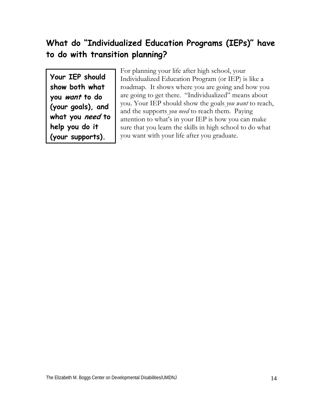#### **What do "Individualized Education Programs (IEPs)" have to do with transition planning?**

**Your IEP should show both what you want to do (your goals), and what you need to help you do it (your supports).** 

For planning your life after high school, your Individualized Education Program (or IEP) is like a roadmap. It shows where you are going and how you are going to get there. "Individualized" means about you. Your IEP should show the goals *you want* to reach, and the supports *you need* to reach them. Paying attention to what's in your IEP is how you can make sure that you learn the skills in high school to do what you want with your life after you graduate.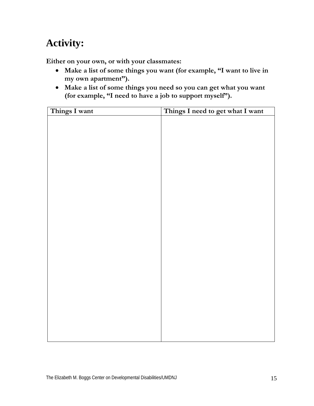**Either on your own, or with your classmates:** 

- **Make a list of some things you want (for example, "I want to live in my own apartment").**
- **Make a list of some things you need so you can get what you want (for example, "I need to have a job to support myself").**

| Things I want | Things I need to get what I want |
|---------------|----------------------------------|
|               |                                  |
|               |                                  |
|               |                                  |
|               |                                  |
|               |                                  |
|               |                                  |
|               |                                  |
|               |                                  |
|               |                                  |
|               |                                  |
|               |                                  |
|               |                                  |
|               |                                  |
|               |                                  |
|               |                                  |
|               |                                  |
|               |                                  |
|               |                                  |
|               |                                  |
|               |                                  |
|               |                                  |
|               |                                  |
|               |                                  |
|               |                                  |
|               |                                  |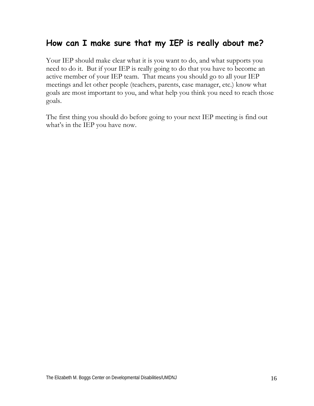#### **How can I make sure that my IEP is really about me?**

Your IEP should make clear what it is you want to do, and what supports you need to do it. But if your IEP is really going to do that you have to become an active member of your IEP team. That means you should go to all your IEP meetings and let other people (teachers, parents, case manager, etc.) know what goals are most important to you, and what help you think you need to reach those goals.

The first thing you should do before going to your next IEP meeting is find out what's in the IEP you have now.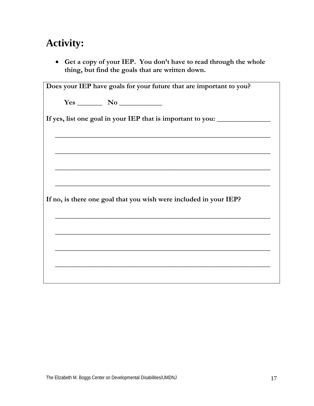• **Get a copy of your IEP. You don't have to read through the whole thing, but find the goals that are written down.** 

| Does your IEP have goals for your future that are important to you? |
|---------------------------------------------------------------------|
|                                                                     |
| If yes, list one goal in your IEP that is important to you:         |
| <u> 1989 - Johann John Stone, Amerikaansk politiker (* 1905)</u>    |
|                                                                     |
| If no, is there one goal that you wish were included in your IEP?   |
|                                                                     |
|                                                                     |
|                                                                     |
|                                                                     |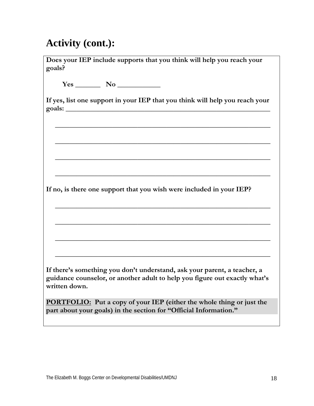## **Activity (cont.):**

| Does your IEP include supports that you think will help you reach your<br>goals?                                                                                        |
|-------------------------------------------------------------------------------------------------------------------------------------------------------------------------|
|                                                                                                                                                                         |
| If yes, list one support in your IEP that you think will help you reach your                                                                                            |
|                                                                                                                                                                         |
|                                                                                                                                                                         |
| If no, is there one support that you wish were included in your IEP?                                                                                                    |
|                                                                                                                                                                         |
|                                                                                                                                                                         |
| If there's something you don't understand, ask your parent, a teacher, a<br>guidance counselor, or another adult to help you figure out exactly what's<br>written down. |
| <b>PORTFOLIO:</b> Put a copy of your IEP (either the whole thing or just the<br>part about your goals) in the section for "Official Information."                       |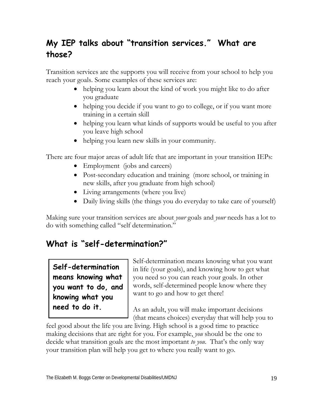#### **My IEP talks about "transition services." What are those?**

Transition services are the supports you will receive from your school to help you reach your goals. Some examples of these services are:

- helping you learn about the kind of work you might like to do after you graduate
- helping you decide if you want to go to college, or if you want more training in a certain skill
- helping you learn what kinds of supports would be useful to you after you leave high school
- helping you learn new skills in your community.

There are four major areas of adult life that are important in your transition IEPs:

- Employment (jobs and careers)
- Post-secondary education and training (more school, or training in new skills, after you graduate from high school)
- Living arrangements (where you live)
- Daily living skills (the things you do everyday to take care of yourself)

Making sure your transition services are about *your* goals and *your* needs has a lot to do with something called "self determination."

#### **What is "self-determination?"**

**Self-determination means knowing what you want to do, and knowing what you need to do it.** 

Self-determination means knowing what you want in life (your goals), and knowing how to get what you need so you can reach your goals. In other words, self-determined people know where they want to go and how to get there!

As an adult, you will make important decisions (that means choices) everyday that will help you to

feel good about the life you are living. High school is a good time to practice making decisions that are right for you. For example, *you* should be the one to decide what transition goals are the most important *to you*. That's the only way your transition plan will help you get to where you really want to go.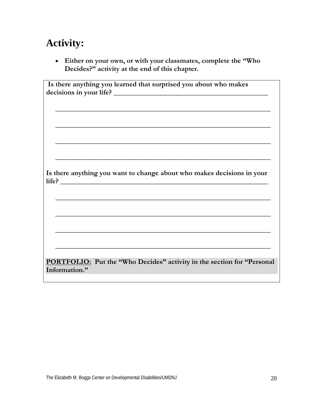• **Either on your own, or with your classmates, complete the "Who Decides?" activity at the end of this chapter.** 

| Is there anything you learned that surprised you about who makes               |
|--------------------------------------------------------------------------------|
|                                                                                |
|                                                                                |
|                                                                                |
|                                                                                |
|                                                                                |
|                                                                                |
|                                                                                |
|                                                                                |
|                                                                                |
|                                                                                |
|                                                                                |
|                                                                                |
|                                                                                |
| Is there anything you want to change about who makes decisions in your         |
|                                                                                |
|                                                                                |
|                                                                                |
|                                                                                |
|                                                                                |
|                                                                                |
|                                                                                |
|                                                                                |
|                                                                                |
|                                                                                |
|                                                                                |
|                                                                                |
|                                                                                |
| <b>PORTFOLIO:</b> Put the "Who Decides" activity in the section for "Personal" |
|                                                                                |
| Information."                                                                  |
|                                                                                |
|                                                                                |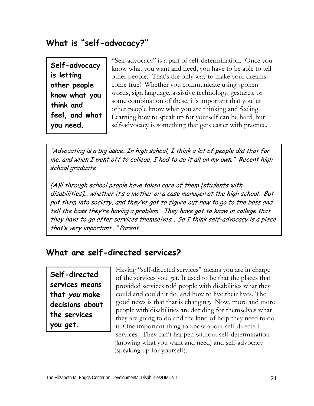#### **What is "self-advocacy?"**

**Self-advocacy is letting other people know what you think and feel, and what you need.** 

"Self-advocacy" is a part of self-determination. Once you know what you want and need, you have to be able to tell other people. That's the only way to make your dreams come true! Whether you communicate using spoken words, sign language, assistive technology, gestures, or some combination of these, it's important that you let other people know what you are thinking and feeling. Learning how to speak up for yourself can be hard, but self-advocacy is something that gets easier with practice.

"Advocating is a big issue…In high school, I think a lot of people did that for me, and when I went off to college, I had to do it all on my own." Recent high school graduate

(A)ll through school people have taken care of them [students with disabilities]… whether it's a mother or a case manager at the high school. But put them into society, and they've got to figure out how to go to the boss and tell the boss they're having a problem. They have got to know in college that they have to go after services themselves… So I think self-advocacy is a piece that's very important…" Parent

#### **What are self-directed services?**

**Self-directed services means that you make decisions about the services you get.** 

Having "self-directed services" means you are in charge of the services you get. It used to be that the places that provided services told people with disabilities what they could and couldn't do, and how to live their lives. The good news is that that is changing. Now, more and more people with disabilities are deciding for themselves what they are going to do and the kind of help they need to do it. One important thing to know about self-directed services: They can't happen without self-determination (knowing what you want and need) and self-advocacy (speaking up for yourself).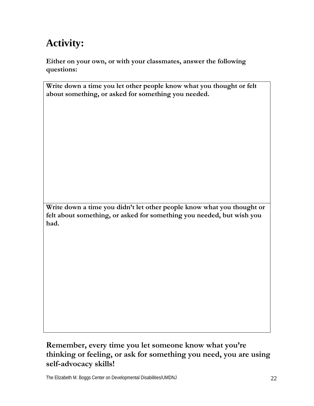**Either on your own, or with your classmates, answer the following questions:** 

| Write down a time you let other people know what you thought or felt |
|----------------------------------------------------------------------|
| about something, or asked for something you needed.                  |

**Write down a time you didn't let other people know what you thought or felt about something, or asked for something you needed, but wish you had.** 

#### **Remember, every time you let someone know what you're thinking or feeling, or ask for something you need, you are using self-advocacy skills!**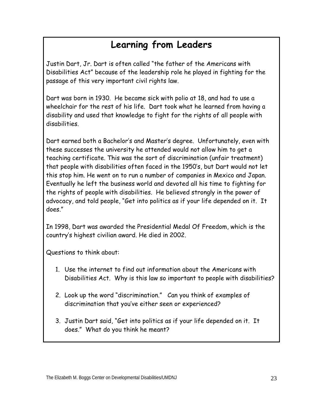### **Learning from Leaders**

Justin Dart, Jr. Dart is often called "the father of the Americans with Disabilities Act" because of the leadership role he played in fighting for the passage of this very important civil rights law.

Dart was born in 1930. He became sick with polio at 18, and had to use a wheelchair for the rest of his life. Dart took what he learned from having a disability and used that knowledge to fight for the rights of all people with disabilities.

Dart earned both a Bachelor's and Master's degree. Unfortunately, even with these successes the university he attended would not allow him to get a teaching certificate. This was the sort of discrimination (unfair treatment) that people with disabilities often faced in the 1950's, but Dart would not let this stop him. He went on to run a number of companies in Mexico and Japan. Eventually he left the business world and devoted all his time to fighting for the rights of people with disabilities. He believed strongly in the power of advocacy, and told people, "Get into politics as if your life depended on it. It does."

In 1998, Dart was awarded the Presidential Medal Of Freedom, which is the country's highest civilian award. He died in 2002.

Questions to think about:

- 1. Use the internet to find out information about the Americans with Disabilities Act. Why is this law so important to people with disabilities?
- 2. Look up the word "discrimination." Can you think of examples of discrimination that you've either seen or experienced?
- 3. Justin Dart said, "Get into politics as if your life depended on it. It does." What do you think he meant?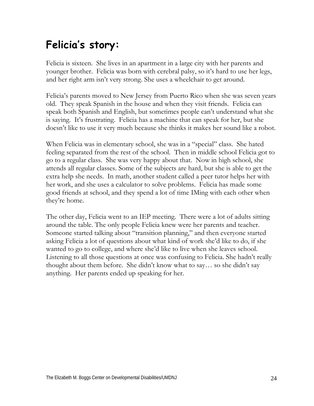## **Felicia's story:**

Felicia is sixteen. She lives in an apartment in a large city with her parents and younger brother. Felicia was born with cerebral palsy, so it's hard to use her legs, and her right arm isn't very strong. She uses a wheelchair to get around.

Felicia's parents moved to New Jersey from Puerto Rico when she was seven years old. They speak Spanish in the house and when they visit friends. Felicia can speak both Spanish and English, but sometimes people can't understand what she is saying. It's frustrating. Felicia has a machine that can speak for her, but she doesn't like to use it very much because she thinks it makes her sound like a robot.

When Felicia was in elementary school, she was in a "special" class. She hated feeling separated from the rest of the school. Then in middle school Felicia got to go to a regular class. She was very happy about that. Now in high school, she attends all regular classes. Some of the subjects are hard, but she is able to get the extra help she needs. In math, another student called a peer tutor helps her with her work, and she uses a calculator to solve problems. Felicia has made some good friends at school, and they spend a lot of time IMing with each other when they're home.

The other day, Felicia went to an IEP meeting. There were a lot of adults sitting around the table. The only people Felicia knew were her parents and teacher. Someone started talking about "transition planning," and then everyone started asking Felicia a lot of questions about what kind of work she'd like to do, if she wanted to go to college, and where she'd like to live when she leaves school. Listening to all those questions at once was confusing to Felicia. She hadn't really thought about them before. She didn't know what to say… so she didn't say anything. Her parents ended up speaking for her.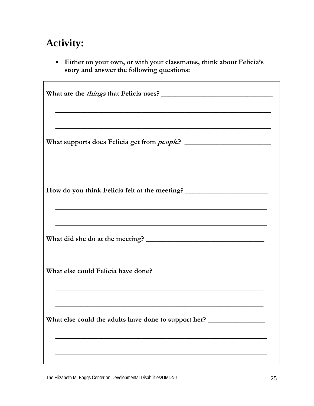• Either on your own, or with your classmates, think about Felicia's story and answer the following questions:

| <u> 1989 - Johann Stoff, amerikansk politiker (d. 1989)</u>                                                                                                                                               |
|-----------------------------------------------------------------------------------------------------------------------------------------------------------------------------------------------------------|
| and the control of the control of the control of the control of the control of the control of the control of the                                                                                          |
|                                                                                                                                                                                                           |
| How do you think Felicia felt at the meeting? __________________________________<br><u> 1989 - Johann Harry Harry Harry Harry Harry Harry Harry Harry Harry Harry Harry Harry Harry Harry Harry Harry</u> |
|                                                                                                                                                                                                           |
| <u> 1988 - An Dùbhlachd ann an Dùbhlachd ann an Dùbhlachd ann an Dùbhlachd ann an Dùbhlachd ann an Dùbhlachd ann a</u>                                                                                    |
|                                                                                                                                                                                                           |
| and the control of the control of the control of the control of the control of the control of the control of the                                                                                          |
| What else could the adults have done to support her? ____________________________                                                                                                                         |
|                                                                                                                                                                                                           |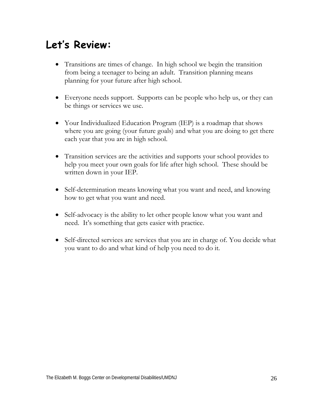## **Let's Review:**

- Transitions are times of change. In high school we begin the transition from being a teenager to being an adult. Transition planning means planning for your future after high school.
- Everyone needs support. Supports can be people who help us, or they can be things or services we use.
- Your Individualized Education Program (IEP) is a roadmap that shows where you are going (your future goals) and what you are doing to get there each year that you are in high school.
- Transition services are the activities and supports your school provides to help you meet your own goals for life after high school. These should be written down in your IEP.
- Self-determination means knowing what you want and need, and knowing how to get what you want and need.
- Self-advocacy is the ability to let other people know what you want and need. It's something that gets easier with practice.
- Self-directed services are services that you are in charge of. You decide what you want to do and what kind of help you need to do it.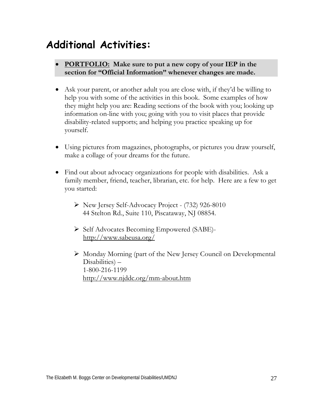## **Additional Activities:**

- **PORTFOLIO: Make sure to put a new copy of your IEP in the section for "Official Information" whenever changes are made.**
- Ask your parent, or another adult you are close with, if they'd be willing to help you with some of the activities in this book. Some examples of how they might help you are: Reading sections of the book with you; looking up information on-line with you; going with you to visit places that provide disability-related supports; and helping you practice speaking up for yourself.
- Using pictures from magazines, photographs, or pictures you draw yourself, make a collage of your dreams for the future.
- Find out about advocacy organizations for people with disabilities. Ask a family member, friend, teacher, librarian, etc. for help. Here are a few to get you started:
	- ¾ New Jersey Self-Advocacy Project (732) 926-8010 44 Stelton Rd., Suite 110, Piscataway, NJ 08854.
	- ¾ Self Advocates Becoming Empowered (SABE) http://www.sabeusa.org/
	- ¾ Monday Morning (part of the New Jersey Council on Developmental Disabilities) – 1-800-216-1199 http://www.njddc.org/mm-about.htm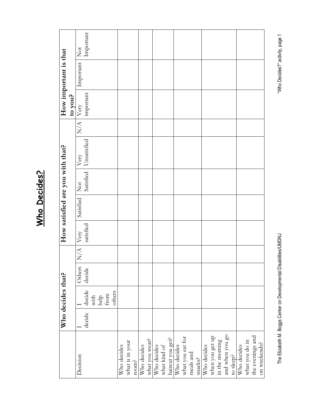|                                   |        | Who decides that?                                                                |                  |                                 |                   | How satisfied are you with that? |                 |                                 |                    | to you?                               | How important is that |                                              |
|-----------------------------------|--------|----------------------------------------------------------------------------------|------------------|---------------------------------|-------------------|----------------------------------|-----------------|---------------------------------|--------------------|---------------------------------------|-----------------------|----------------------------------------------|
| Decision                          | decide | decide                                                                           | Others<br>decide | $\frac{\mathsf{A}}{\mathsf{N}}$ | satisfied<br>Very | Satisfied                        | $\breve{\rm X}$ | Satisfied   Unsatisfied<br>Very | $\frac{1}{\Delta}$ | important<br>$\overline{\text{Very}}$ | Important             | Important<br>$\stackrel{\text{tot}}{\simeq}$ |
|                                   |        | others<br>$\begin{array}{c} \mathbf{help}\\ \mathbf{from}\\ \end{array}$<br>with |                  |                                 |                   |                                  |                 |                                 |                    |                                       |                       |                                              |
| Who decides                       |        |                                                                                  |                  |                                 |                   |                                  |                 |                                 |                    |                                       |                       |                                              |
| what is in your                   |        |                                                                                  |                  |                                 |                   |                                  |                 |                                 |                    |                                       |                       |                                              |
| room?                             |        |                                                                                  |                  |                                 |                   |                                  |                 |                                 |                    |                                       |                       |                                              |
| Who decides                       |        |                                                                                  |                  |                                 |                   |                                  |                 |                                 |                    |                                       |                       |                                              |
| what you wear?                    |        |                                                                                  |                  |                                 |                   |                                  |                 |                                 |                    |                                       |                       |                                              |
| Who decides                       |        |                                                                                  |                  |                                 |                   |                                  |                 |                                 |                    |                                       |                       |                                              |
| what kind of                      |        |                                                                                  |                  |                                 |                   |                                  |                 |                                 |                    |                                       |                       |                                              |
| haircut you get?                  |        |                                                                                  |                  |                                 |                   |                                  |                 |                                 |                    |                                       |                       |                                              |
| Who decides                       |        |                                                                                  |                  |                                 |                   |                                  |                 |                                 |                    |                                       |                       |                                              |
| what you eat for                  |        |                                                                                  |                  |                                 |                   |                                  |                 |                                 |                    |                                       |                       |                                              |
| meals and                         |        |                                                                                  |                  |                                 |                   |                                  |                 |                                 |                    |                                       |                       |                                              |
| snacks?                           |        |                                                                                  |                  |                                 |                   |                                  |                 |                                 |                    |                                       |                       |                                              |
| Who decides                       |        |                                                                                  |                  |                                 |                   |                                  |                 |                                 |                    |                                       |                       |                                              |
| when you get up<br>in the morning |        |                                                                                  |                  |                                 |                   |                                  |                 |                                 |                    |                                       |                       |                                              |
|                                   |        |                                                                                  |                  |                                 |                   |                                  |                 |                                 |                    |                                       |                       |                                              |
| and when you go                   |        |                                                                                  |                  |                                 |                   |                                  |                 |                                 |                    |                                       |                       |                                              |
| to sleep?                         |        |                                                                                  |                  |                                 |                   |                                  |                 |                                 |                    |                                       |                       |                                              |
| Who decides                       |        |                                                                                  |                  |                                 |                   |                                  |                 |                                 |                    |                                       |                       |                                              |
| what you do in                    |        |                                                                                  |                  |                                 |                   |                                  |                 |                                 |                    |                                       |                       |                                              |
| the evenings and                  |        |                                                                                  |                  |                                 |                   |                                  |                 |                                 |                    |                                       |                       |                                              |
| on weekends?                      |        |                                                                                  |                  |                                 |                   |                                  |                 |                                 |                    |                                       |                       |                                              |

Who Decides? **Who Decides?**

"Who Decides?" activity, page 1

The Elizabeth M. Boggs Center on Developmental Disabilities/UMDNJ "Who Decides?" activity, page 1 The Elizabeth M. Boggs Center on Developmental Disabilities/UMDNJ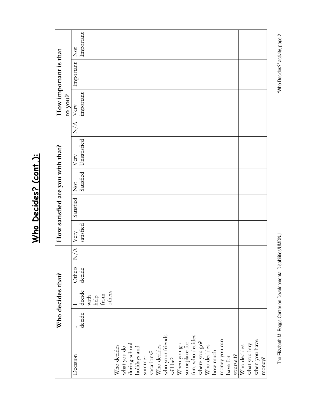|                                   |        | Who decides that? |        |          |           | How satisfied are you with that? |                                   |                  |                 | How important is that |                         |
|-----------------------------------|--------|-------------------|--------|----------|-----------|----------------------------------|-----------------------------------|------------------|-----------------|-----------------------|-------------------------|
| Decision                          |        |                   | Others | N/A Very |           | Satisfied                        |                                   | $\overline{X/A}$ | to you?<br>Very | Important             | $\overline{\text{Not}}$ |
|                                   |        |                   |        |          |           |                                  | Not Very<br>Satisfied Unsatisfied |                  |                 |                       |                         |
|                                   | decide | decide            | decide |          | satisfied |                                  |                                   |                  | important       |                       | Important               |
|                                   |        | with              |        |          |           |                                  |                                   |                  |                 |                       |                         |
|                                   |        | help              |        |          |           |                                  |                                   |                  |                 |                       |                         |
|                                   |        | from              |        |          |           |                                  |                                   |                  |                 |                       |                         |
|                                   |        | others            |        |          |           |                                  |                                   |                  |                 |                       |                         |
| Who decides                       |        |                   |        |          |           |                                  |                                   |                  |                 |                       |                         |
| what you do                       |        |                   |        |          |           |                                  |                                   |                  |                 |                       |                         |
|                                   |        |                   |        |          |           |                                  |                                   |                  |                 |                       |                         |
| during school<br>holidays and     |        |                   |        |          |           |                                  |                                   |                  |                 |                       |                         |
| summer                            |        |                   |        |          |           |                                  |                                   |                  |                 |                       |                         |
| vacations?                        |        |                   |        |          |           |                                  |                                   |                  |                 |                       |                         |
| Who decides                       |        |                   |        |          |           |                                  |                                   |                  |                 |                       |                         |
|                                   |        |                   |        |          |           |                                  |                                   |                  |                 |                       |                         |
| who your friends<br>will be?      |        |                   |        |          |           |                                  |                                   |                  |                 |                       |                         |
| When you go<br>someplace for      |        |                   |        |          |           |                                  |                                   |                  |                 |                       |                         |
|                                   |        |                   |        |          |           |                                  |                                   |                  |                 |                       |                         |
|                                   |        |                   |        |          |           |                                  |                                   |                  |                 |                       |                         |
| fun, who decides<br>where you go? |        |                   |        |          |           |                                  |                                   |                  |                 |                       |                         |
| Who decides                       |        |                   |        |          |           |                                  |                                   |                  |                 |                       |                         |
| how much                          |        |                   |        |          |           |                                  |                                   |                  |                 |                       |                         |
| money you can                     |        |                   |        |          |           |                                  |                                   |                  |                 |                       |                         |
| have for                          |        |                   |        |          |           |                                  |                                   |                  |                 |                       |                         |
| yourself?                         |        |                   |        |          |           |                                  |                                   |                  |                 |                       |                         |
| Who decides                       |        |                   |        |          |           |                                  |                                   |                  |                 |                       |                         |
| what you buy                      |        |                   |        |          |           |                                  |                                   |                  |                 |                       |                         |
| when you have                     |        |                   |        |          |           |                                  |                                   |                  |                 |                       |                         |
| money?                            |        |                   |        |          |           |                                  |                                   |                  |                 |                       |                         |

Who Decides? (cont.): **Who Decides? (cont.):**

"Who Decides?" activity, page 2

The Elizabeth M. Boggs Center on Developmental Disabilities/UMDNJ "Who Decides?" activity, page 2 The Elizabeth M. Boggs Center on Developmental Disabilities/UMDNJ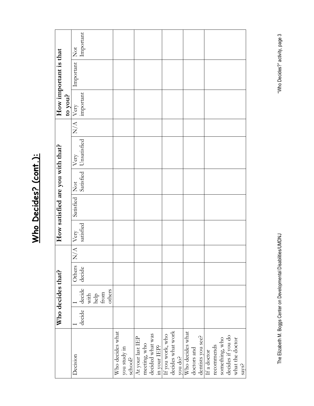|                                  |        | Who decides that?                                           |                  |               |                   | How satisfied are you with that? |                                   |                     |                                       | How important is that |                                              |
|----------------------------------|--------|-------------------------------------------------------------|------------------|---------------|-------------------|----------------------------------|-----------------------------------|---------------------|---------------------------------------|-----------------------|----------------------------------------------|
|                                  |        |                                                             |                  |               |                   |                                  |                                   |                     | to you?                               |                       |                                              |
| Decision                         | decide | decide                                                      | Others<br>decide | $\frac{1}{N}$ | satisfied<br>Very | Satisfied                        | Satisfied<br>$\breve{\mathbf{X}}$ | Unsatisfied<br>Very | $N/A$ $\boxed{\text{Very}}$ important | Important             | Important<br>$\stackrel{\text{tot}}{\simeq}$ |
|                                  |        | with                                                        |                  |               |                   |                                  |                                   |                     |                                       |                       |                                              |
|                                  |        | $\begin{array}{c}\n\text{help} \\ \text{from}\n\end{array}$ |                  |               |                   |                                  |                                   |                     |                                       |                       |                                              |
|                                  |        | others                                                      |                  |               |                   |                                  |                                   |                     |                                       |                       |                                              |
| Who decides what                 |        |                                                             |                  |               |                   |                                  |                                   |                     |                                       |                       |                                              |
| you study in                     |        |                                                             |                  |               |                   |                                  |                                   |                     |                                       |                       |                                              |
| school?                          |        |                                                             |                  |               |                   |                                  |                                   |                     |                                       |                       |                                              |
| At your last IEP                 |        |                                                             |                  |               |                   |                                  |                                   |                     |                                       |                       |                                              |
| meeting, who                     |        |                                                             |                  |               |                   |                                  |                                   |                     |                                       |                       |                                              |
|                                  |        |                                                             |                  |               |                   |                                  |                                   |                     |                                       |                       |                                              |
| decided what was<br>in your IEP? |        |                                                             |                  |               |                   |                                  |                                   |                     |                                       |                       |                                              |
| If you work, who                 |        |                                                             |                  |               |                   |                                  |                                   |                     |                                       |                       |                                              |
| decides what work                |        |                                                             |                  |               |                   |                                  |                                   |                     |                                       |                       |                                              |
|                                  |        |                                                             |                  |               |                   |                                  |                                   |                     |                                       |                       |                                              |
| you do?<br>Who decides what      |        |                                                             |                  |               |                   |                                  |                                   |                     |                                       |                       |                                              |
| doctors and                      |        |                                                             |                  |               |                   |                                  |                                   |                     |                                       |                       |                                              |
| dentists you see?                |        |                                                             |                  |               |                   |                                  |                                   |                     |                                       |                       |                                              |
| If a doctor                      |        |                                                             |                  |               |                   |                                  |                                   |                     |                                       |                       |                                              |
| recommends                       |        |                                                             |                  |               |                   |                                  |                                   |                     |                                       |                       |                                              |
| something, who                   |        |                                                             |                  |               |                   |                                  |                                   |                     |                                       |                       |                                              |
| decides if you do                |        |                                                             |                  |               |                   |                                  |                                   |                     |                                       |                       |                                              |
| what the doctor                  |        |                                                             |                  |               |                   |                                  |                                   |                     |                                       |                       |                                              |
| says?                            |        |                                                             |                  |               |                   |                                  |                                   |                     |                                       |                       |                                              |

Who Decides? (cont.): **Who Decides? (cont.):**

"Who Decides?" activity, page 3

The Elizabeth M. Boggs Center on Developmental Disabilities/UMDNJ "Who Decides?" activity, page 3 The Elizabeth M. Boggs Center on Developmental Disabilities/UMDNJ